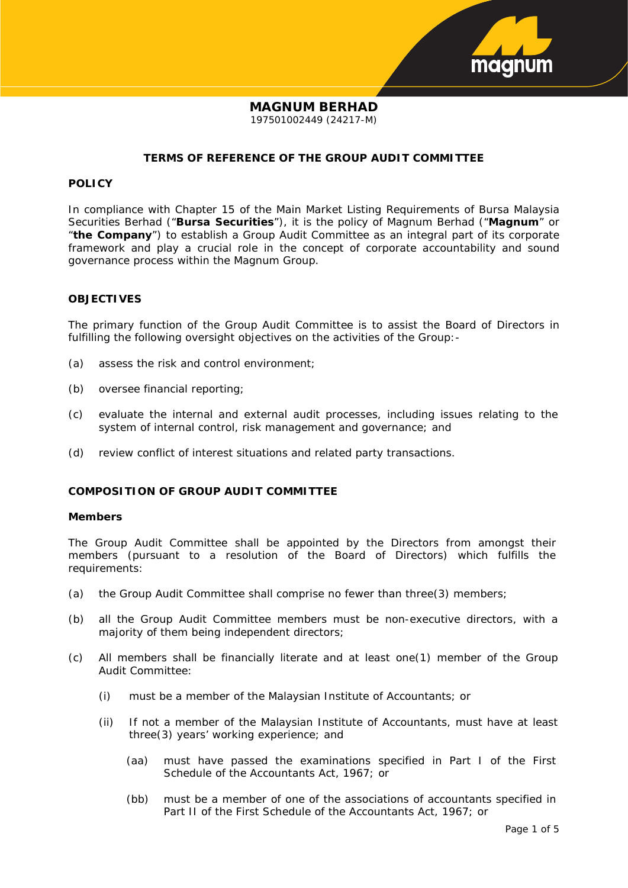

## **MAGNUM BERHAD** 197501002449 (24217-M)

## **TERMS OF REFERENCE OF THE GROUP AUDIT COMMITTEE**

## **POLICY**

In compliance with Chapter 15 of the Main Market Listing Requirements of Bursa Malaysia Securities Berhad ("**Bursa Securities**"), it is the policy of Magnum Berhad ("**Magnum**" or "**the Company**") to establish a Group Audit Committee as an integral part of its corporate framework and play a crucial role in the concept of corporate accountability and sound governance process within the Magnum Group.

## **OBJECTIVES**

The primary function of the Group Audit Committee is to assist the Board of Directors in fulfilling the following oversight objectives on the activities of the Group:-

- (a) assess the risk and control environment;
- (b) oversee financial reporting;
- (c) evaluate the internal and external audit processes, including issues relating to the system of internal control, risk management and governance; and
- (d) review conflict of interest situations and related party transactions.

## **COMPOSITION OF GROUP AUDIT COMMITTEE**

#### **Members**

The Group Audit Committee shall be appointed by the Directors from amongst their members (pursuant to a resolution of the Board of Directors) which fulfills the requirements:

- (a) the Group Audit Committee shall comprise no fewer than three(3) members;
- (b) all the Group Audit Committee members must be non-executive directors, with a majority of them being independent directors;
- (c) All members shall be financially literate and at least one(1) member of the Group Audit Committee:
	- (i) must be a member of the Malaysian Institute of Accountants; or
	- (ii) If not a member of the Malaysian Institute of Accountants, must have at least three(3) years' working experience; and
		- (aa) must have passed the examinations specified in Part I of the First Schedule of the Accountants Act, 1967; or
		- (bb) must be a member of one of the associations of accountants specified in Part II of the First Schedule of the Accountants Act, 1967; or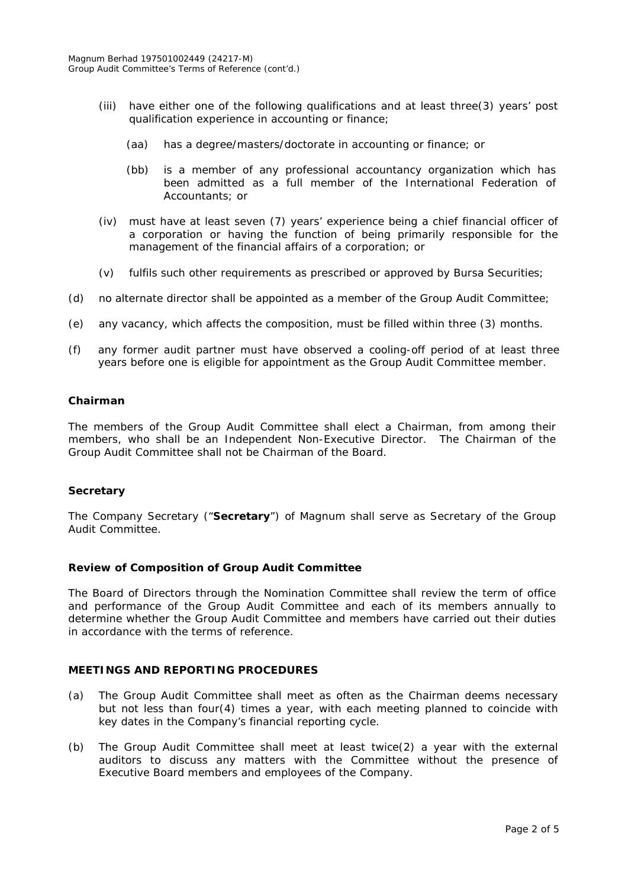- (iii) have either one of the following qualifications and at least three(3) years' post qualification experience in accounting or finance;
	- (aa) has a degree/masters/doctorate in accounting or finance; or
	- (bb) is a member of any professional accountancy organization which has been admitted as a full member of the International Federation of Accountants; or
- (iv) must have at least seven (7) years' experience being a chief financial officer of a corporation or having the function of being primarily responsible for the management of the financial affairs of a corporation; or
- (v) fulfils such other requirements as prescribed or approved by Bursa Securities;
- (d) no alternate director shall be appointed as a member of the Group Audit Committee;
- (e) any vacancy, which affects the composition, must be filled within three (3) months.
- (f) any former audit partner must have observed a cooling-off period of at least three years before one is eligible for appointment as the Group Audit Committee member.

## **Chairman**

The members of the Group Audit Committee shall elect a Chairman, from among their members, who shall be an Independent Non-Executive Director. The Chairman of the Group Audit Committee shall not be Chairman of the Board.

## **Secretary**

The Company Secretary ("**Secretary**") of Magnum shall serve as Secretary of the Group Audit Committee.

#### **Review of Composition of Group Audit Committee**

The Board of Directors through the Nomination Committee shall review the term of office and performance of the Group Audit Committee and each of its members annually to determine whether the Group Audit Committee and members have carried out their duties in accordance with the terms of reference.

## **MEETINGS AND REPORTING PROCEDURES**

- (a) The Group Audit Committee shall meet as often as the Chairman deems necessary but not less than four(4) times a year, with each meeting planned to coincide with key dates in the Company's financial reporting cycle.
- (b) The Group Audit Committee shall meet at least twice(2) a year with the external auditors to discuss any matters with the Committee without the presence of Executive Board members and employees of the Company.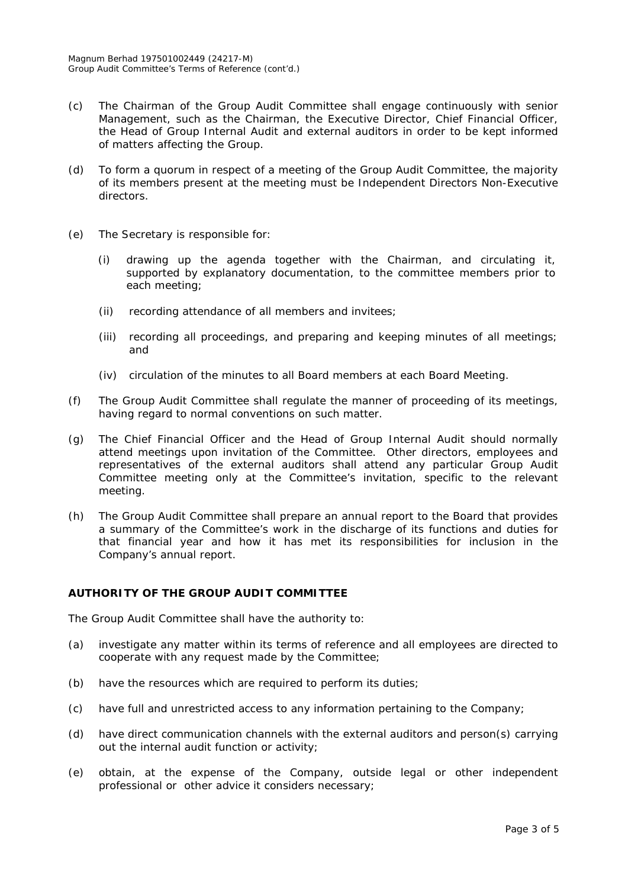- (c) The Chairman of the Group Audit Committee shall engage continuously with senior Management, such as the Chairman, the Executive Director, Chief Financial Officer, the Head of Group Internal Audit and external auditors in order to be kept informed of matters affecting the Group.
- (d) To form a quorum in respect of a meeting of the Group Audit Committee, the majority of its members present at the meeting must be Independent Directors Non-Executive directors.
- (e) The Secretary is responsible for:
	- (i) drawing up the agenda together with the Chairman, and circulating it, supported by explanatory documentation, to the committee members prior to each meeting;
	- (ii) recording attendance of all members and invitees;
	- (iii) recording all proceedings, and preparing and keeping minutes of all meetings; and
	- (iv) circulation of the minutes to all Board members at each Board Meeting.
- (f) The Group Audit Committee shall regulate the manner of proceeding of its meetings, having regard to normal conventions on such matter.
- (g) The Chief Financial Officer and the Head of Group Internal Audit should normally attend meetings upon invitation of the Committee. Other directors, employees and representatives of the external auditors shall attend any particular Group Audit Committee meeting only at the Committee's invitation, specific to the relevant meeting.
- (h) The Group Audit Committee shall prepare an annual report to the Board that provides a summary of the Committee's work in the discharge of its functions and duties for that financial year and how it has met its responsibilities for inclusion in the Company's annual report.

## **AUTHORITY OF THE GROUP AUDIT COMMITTEE**

The Group Audit Committee shall have the authority to:

- (a) investigate any matter within its terms of reference and all employees are directed to cooperate with any request made by the Committee;
- (b) have the resources which are required to perform its duties;
- (c) have full and unrestricted access to any information pertaining to the Company;
- (d) have direct communication channels with the external auditors and person(s) carrying out the internal audit function or activity;
- (e) obtain, at the expense of the Company, outside legal or other independent professional or other advice it considers necessary;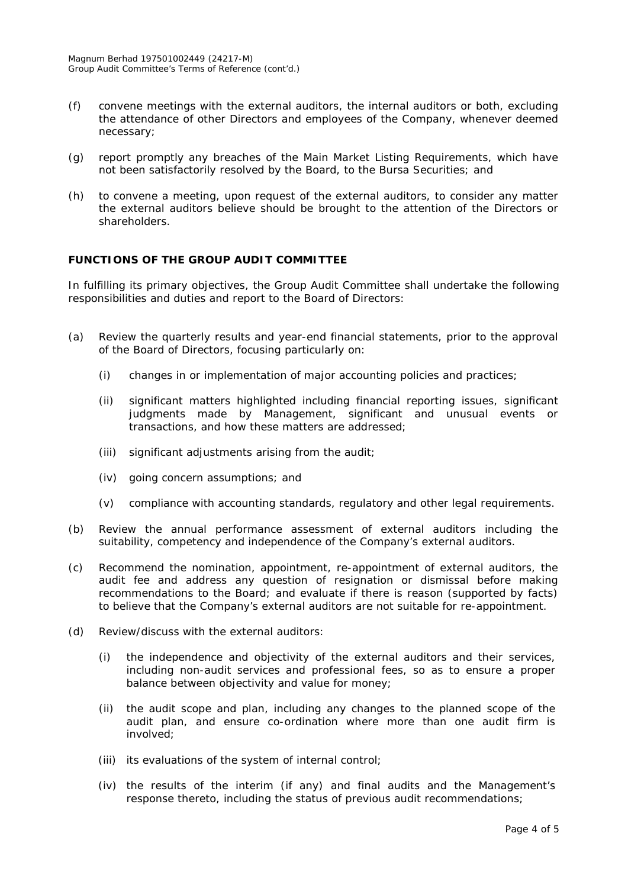- (f) convene meetings with the external auditors, the internal auditors or both, excluding the attendance of other Directors and employees of the Company, whenever deemed necessary;
- (g) report promptly any breaches of the Main Market Listing Requirements, which have not been satisfactorily resolved by the Board, to the Bursa Securities; and
- (h) to convene a meeting, upon request of the external auditors, to consider any matter the external auditors believe should be brought to the attention of the Directors or shareholders.

# **FUNCTIONS OF THE GROUP AUDIT COMMITTEE**

In fulfilling its primary objectives, the Group Audit Committee shall undertake the following responsibilities and duties and report to the Board of Directors:

- (a) Review the quarterly results and year-end financial statements, prior to the approval of the Board of Directors, focusing particularly on:
	- (i) changes in or implementation of major accounting policies and practices;
	- (ii) significant matters highlighted including financial reporting issues, significant judgments made by Management, significant and unusual events or transactions, and how these matters are addressed;
	- (iii) significant adjustments arising from the audit;
	- (iv) going concern assumptions; and
	- (v) compliance with accounting standards, regulatory and other legal requirements.
- (b) Review the annual performance assessment of external auditors including the suitability, competency and independence of the Company's external auditors.
- (c) Recommend the nomination, appointment, re-appointment of external auditors, the audit fee and address any question of resignation or dismissal before making recommendations to the Board; and evaluate if there is reason (supported by facts) to believe that the Company's external auditors are not suitable for re-appointment.
- (d) Review/discuss with the external auditors:
	- (i) the independence and objectivity of the external auditors and their services, including non-audit services and professional fees, so as to ensure a proper balance between objectivity and value for money;
	- (ii) the audit scope and plan, including any changes to the planned scope of the audit plan, and ensure co-ordination where more than one audit firm is involved;
	- (iii) its evaluations of the system of internal control;
	- (iv) the results of the interim (if any) and final audits and the Management's response thereto, including the status of previous audit recommendations;